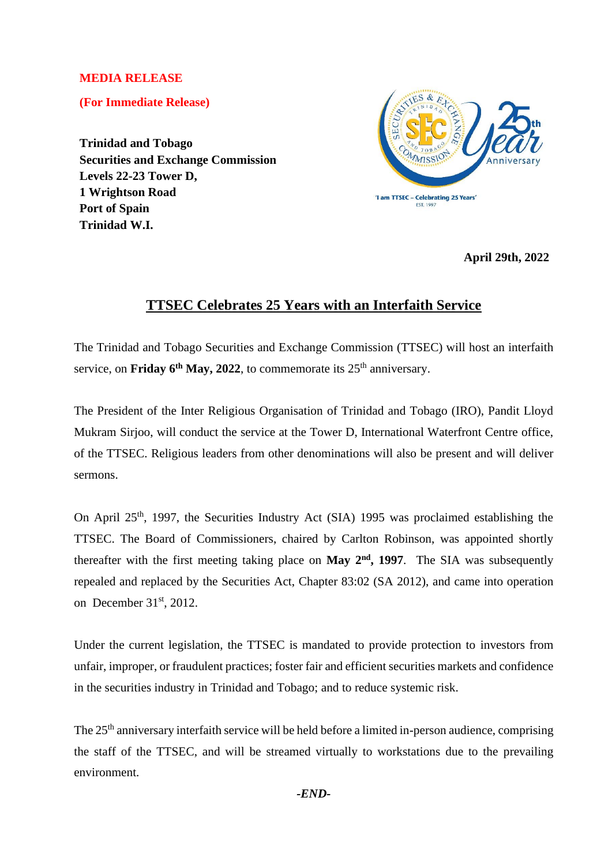## **MEDIA RELEASE**

**(For Immediate Release)**

**Trinidad and Tobago Securities and Exchange Commission Levels 22-23 Tower D, 1 Wrightson Road Port of Spain Trinidad W.I.**



**April 29th, 2022**

## **TTSEC Celebrates 25 Years with an Interfaith Service**

The Trinidad and Tobago Securities and Exchange Commission (TTSEC) will host an interfaith service, on **Friday 6<sup>th</sup> May, 2022**, to commemorate its  $25<sup>th</sup>$  anniversary.

The President of the Inter Religious Organisation of Trinidad and Tobago (IRO), Pandit Lloyd Mukram Sirjoo, will conduct the service at the Tower D, International Waterfront Centre office, of the TTSEC. Religious leaders from other denominations will also be present and will deliver sermons.

On April 25th, 1997, the Securities Industry Act (SIA) 1995 was proclaimed establishing the TTSEC. The Board of Commissioners, chaired by Carlton Robinson, was appointed shortly thereafter with the first meeting taking place on **May 2nd, 1997**. The SIA was subsequently repealed and replaced by the Securities Act, Chapter 83:02 (SA 2012), and came into operation on December 31<sup>st</sup>, 2012.

Under the current legislation, the TTSEC is mandated to provide protection to investors from unfair, improper, or fraudulent practices; foster fair and efficient securities markets and confidence in the securities industry in Trinidad and Tobago; and to reduce systemic risk.

The 25<sup>th</sup> anniversary interfaith service will be held before a limited in-person audience, comprising the staff of the TTSEC, and will be streamed virtually to workstations due to the prevailing environment.

*-END-*